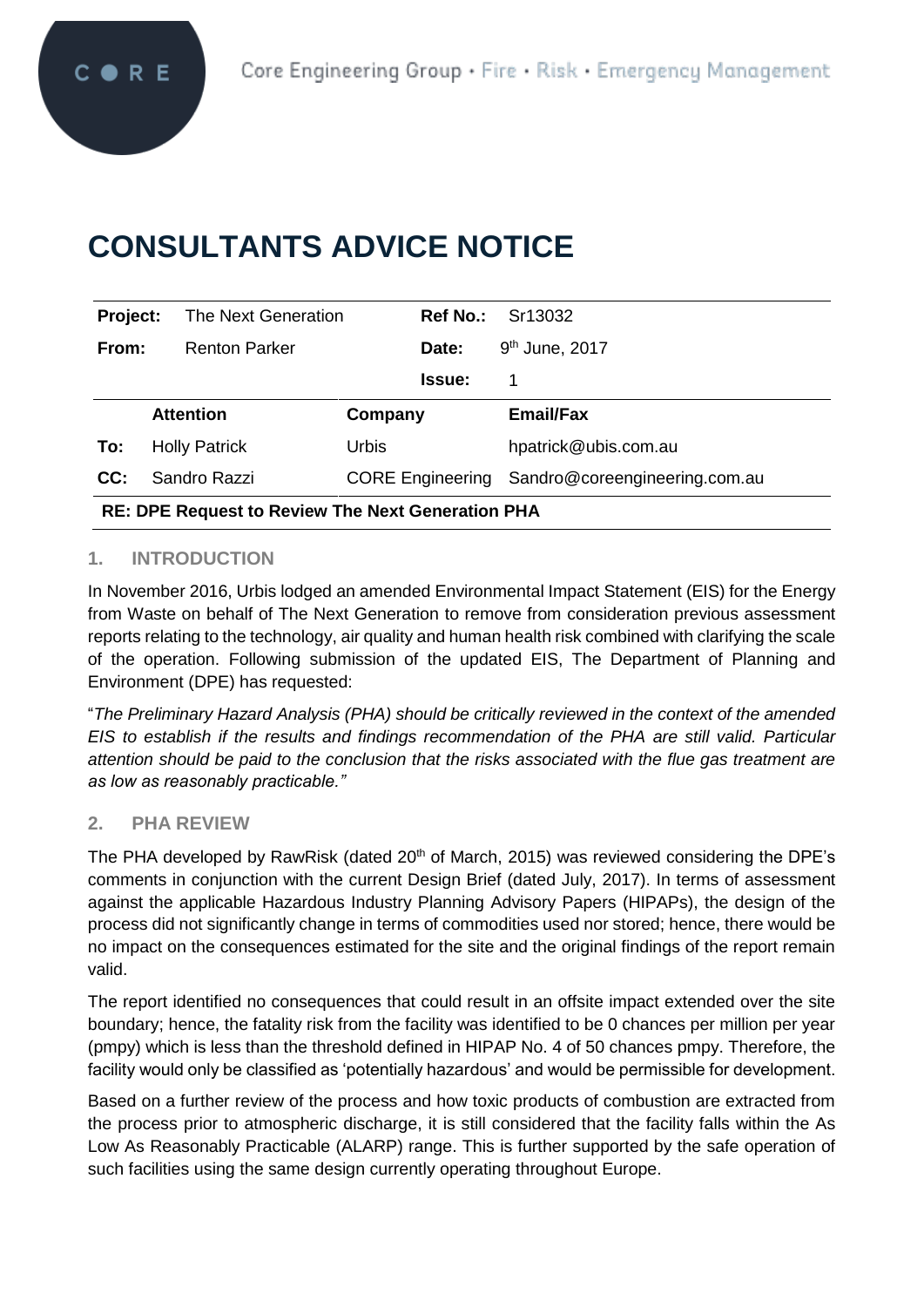# **CONSULTANTS ADVICE NOTICE**

| Project:                                                 | The Next Generation  | <b>Ref No.:</b>         | Sr13032                       |
|----------------------------------------------------------|----------------------|-------------------------|-------------------------------|
| From:                                                    | <b>Renton Parker</b> | Date:                   | 9 <sup>th</sup> June, 2017    |
|                                                          |                      | <b>Issue:</b>           | 1                             |
|                                                          | <b>Attention</b>     | Company                 | <b>Email/Fax</b>              |
| To:                                                      | <b>Holly Patrick</b> | <b>Urbis</b>            | hpatrick@ubis.com.au          |
| CC:                                                      | Sandro Razzi         | <b>CORE Engineering</b> | Sandro@coreengineering.com.au |
| <b>RE: DPE Request to Review The Next Generation PHA</b> |                      |                         |                               |

## **1. INTRODUCTION**

In November 2016, Urbis lodged an amended Environmental Impact Statement (EIS) for the Energy from Waste on behalf of The Next Generation to remove from consideration previous assessment reports relating to the technology, air quality and human health risk combined with clarifying the scale of the operation. Following submission of the updated EIS, The Department of Planning and Environment (DPE) has requested:

"*The Preliminary Hazard Analysis (PHA) should be critically reviewed in the context of the amended EIS to establish if the results and findings recommendation of the PHA are still valid. Particular attention should be paid to the conclusion that the risks associated with the flue gas treatment are as low as reasonably practicable."*

#### **2. PHA REVIEW**

The PHA developed by RawRisk (dated 20<sup>th</sup> of March, 2015) was reviewed considering the DPE's comments in conjunction with the current Design Brief (dated July, 2017). In terms of assessment against the applicable Hazardous Industry Planning Advisory Papers (HIPAPs), the design of the process did not significantly change in terms of commodities used nor stored; hence, there would be no impact on the consequences estimated for the site and the original findings of the report remain valid.

The report identified no consequences that could result in an offsite impact extended over the site boundary; hence, the fatality risk from the facility was identified to be 0 chances per million per year (pmpy) which is less than the threshold defined in HIPAP No. 4 of 50 chances pmpy. Therefore, the facility would only be classified as 'potentially hazardous' and would be permissible for development.

Based on a further review of the process and how toxic products of combustion are extracted from the process prior to atmospheric discharge, it is still considered that the facility falls within the As Low As Reasonably Practicable (ALARP) range. This is further supported by the safe operation of such facilities using the same design currently operating throughout Europe.